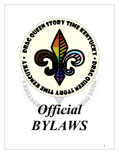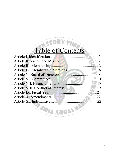# Table of Contents

| <b>EZWILL AND LS NER</b> |  |
|--------------------------|--|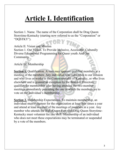### **Article I. Identification**

Section 1. Name. The name of the Corporation shall be Drag Queen Storytime-Kentucky (starting now referred to as the "Corporation" or "DQSTKY").

Article II. Vision and Mission Section 1. Our Vision. To Provide Inclusive, Accessible, Culturally Diverse Educational Programming for Queer youth And Our Community.

Article III. Membership

**Section 1.** Qualification. A vote may approve qualified members at a meeting of the members. Any individual who subscribes to our mission and who lives or works in the Commonwealth of Kentucky, or who lives elsewhere and is granted an exception by the Board of Directors, qualifies for membership after having attended the two-member meetings immediately preceding the one in which the members are to vote on the individual's membership.

**Section 2.** Membership Expectations. To maintain membership, an individual must volunteer for the organization at least four times a year and attend at least one-half of the meetings of members in a year. Any member who attends the HalloQueen Fest with Drag Queen Storytime-Kentucky must volunteer for one shift. Membership of an individual who does not meet these expectations may be terminated or suspended by a vote of the members.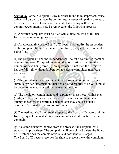**Section 3.** Formal Complaint. Any member found to misrepresent, cause a financial burden, damage the committee, whose participation proves to be disruptive, or creates an environment of ill-feeling within the committee/community may be removed by the following process:

(a) A written complaint must be filed with a director, who shall then facilitate the remaining process.

(b) A representative of the Board of Directors will notify the respondent of the complaint by certified mail within five (5) days of the complaint being filed.

(c)The complainant and the respondent shall select a committee member as editor in three (3) days of receiving the notification. If within the max number of days being three  $(3)$ , an agreement is not met, the President has the full right without deliberation to select a committee member as mediator.

(d) The complainant and respondent may have any committee member submit a written statement on their behalf. Said reports, to be valid, must be given to the mediator before the mediation date.

(e) The mediator, complainant, and respondent must meet within seven (7) days of selecting a said mediator to discuss the complaint in an attempt to resolve the conflict. The mediator may choose a silent observer if deemed necessary to take notes.

(f) The mediator shall then send a report to the Board of Directors within five (5) days of the mediation to present unbiased information on the complaint.

(g) If a complainant withdraws from the process, the complaint will stand as simply written. The complaint will be archived unless the Board of Directors finds the complaint valid and pertinent to Charges. The Board of Directors reserves the right to present the entire complaint.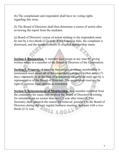(h) The complainant and respondent shall have no voting rights regarding this issue.

(I) The Board of Directors shall then determine a course of action after reviewing the report from the mediator.

(j) Board of Directors' course of action relating to the respondent must be met by a two-thirds (2/3) vote. If the franchise fails, the complaint is dismissed, and the member returns to original membership status.

**Section 4. Resignation.** A member may resign at any time by giving written notice to a member of the Board of Directors of the Corporation.

**Section 5. Property.** A member that resigns or whose membership is terminated must return all of the corporation's property within seven (7) days voluntarily or at the time of notification via certified mail sent by a representative of the Board of Directors. The corporation reserves the right to exercise legal options as warranted.

**Section 6. Reinstatement of Membership.** Any member removed from the committee for cause may petition the Board of Directors in writing for reinstatement no sooner than one (1) year after removal. The Secretary shall research the reason for removal, present it to the Board of Directors during the next regular business meeting, and pass with a twothirds (2/3) vote.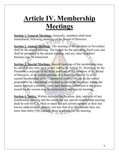### **Article IV. Membership Meetings**

**Section 1. General Meetings.** Generally, members shall meet immediately following meetings of the Board of Directors.

**Section 2. Annual Meetings**. The meeting of the members in November shall be the annual meeting. The budget for the upcoming fiscal year and shall be presented at the annual meeting, and any other members' business may be transacted.

**Section 3. Special Meetings.** Special meetings of the membership may be called at any time upon proper notice, by Article IV, Section 4, by the President, a majority of the filled positions of the members of the Board of Directors, or by written petition of at least one-third  $(1/3)$  of the current membership of the Corporation entitled to vote on the matter proposed to be considered, who shall so notify the Secretary stating the reason for such a meeting. Only such business authorized in the notice issued for the session may be transacted at said special meeting.

**Section 4. Notice.** Written notice of the location, date, and time of any membership meeting and the reason for any special membership meeting shall be sent by U.S. Mail or email to each current member at their last known address/email address, not less than five (5) calendar days nor more than thirty (30) calendar days in advance of the meeting.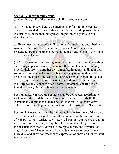#### **Section 5. Quorum and Voting.**

 $(a)$  One-third (1/3) of the members shall constitute a quorum.

(b) Any matter placed before the membership for voting, except as otherwise provided in these bylaws, shall be carried if approved by a majority vote of the members present in person, via proxy, or via absentee ballot.

(c) Every member in good standing, not under review as described in Article III, Section 3 or 5, is entitled to one (1) vote on any matter brought before the membership, including the right to vote in the Board of Directors election.

(d) At any membership meeting, members may participate by attending and voting in person, via telephone, or other remote connection, may provide their proxy to another active member in good standing, or may submit an absentee ballot. A member may carry no more than two proxies at any given time. Unless otherwise provided herein, to vote via proxy or by absentee ballot, a member must deliver to the Secretary of the Corporation a signed written or email statement declaring their intention twenty-four (24) hours before the meeting.

**Section 6. Rule of Order.** Business shall be conducted according to a written agenda, available at each meeting. The Secretary shall allow members to submit agenda items no less than six (6) calendar days before the meeting to give notice as described in Article IV, Section 4.

**Section 7.** Proceedings shall be facilitated by the President of the Board of Directors or the designate. The rules contained in the current edition of Roberts Rules of Order, Newly Revised shall govern the organization in all cases to which they are applicable and in which they are not inconsistent with these bylaws and any special rules the organization may adopt. Careful attention shall be made to ensure respect for every individual and allow for freedom of expression of one's opinion without fear of retaliation.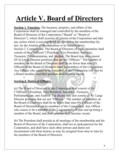### **Article V. Board of Directors**

**Section 1. Function.** The business, property, and affairs of the Corporation shall be managed and controlled by the members of the Board of Directors of the Corporation ("Board" or "Board of Directors"), which shall exercise all powers of the Corporation and take any action which is not prohibited or reserved to the membership (by law, by the Articles of Incorporation or by these bylaws). Section 2. Composition. The Board of Directors of the Corporation shall consist of the ("Officers") President, Vice-President, Secretary, Treasurer, Parliamentarian, and Auditor. The Board may also consist Of At-Large Director positions that are not "Officers." The number of members on the Board of Directors shall be no fewer than nine (9). Officers of the Board of Directors must be members of the Corporation. Any Officer who ceases to be a member of the Corporation will also be a Board member, and their position shall become vacant.

#### **Section 3. Duties of Officers.**

(a) The Board of Directors of the Corporation shall consist of the ("Officers") President, Vice-President, Secretary, Treasurer, Parliamentarian, and Auditor. The Board may also consist of At- Large Director positions that are not "Officers." The number of members on the Board of Directors shall be no fewer than nine (9). Officers of the Board of Directors must be members of the Corporation. Any Officer who ceases to be a member of the Corporation will also end up being a member of the Board, and their position shall become vacant.

(b) The President shall preside at all meetings of the membership and the Board of Directors of the Corporation, shall act as spokesperson for the Corporation, and shall have such other powers and duties not inconsistent with these bylaws as may be assigned from time to time by the members of the Board of Directors.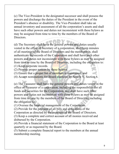(c) The Vice-President is the designated successor and shall possess the powers and discharge the duties of the President in the event of the President's absence or disability. The Vice-President shall take an annual inventory and assessment of all the corporation's assets and shall have such other powers and duties not inconsistent with these bylaws as may be assigned from time to time by the members of the Board of Directors.

(d) The Secretary shall have the general powers and duties usually vested in the office of Secretary of a corporation, shall keep minutes of all meetings of the Board of Directors and the membership, shall authenticate the records of the Corporation and shall have such other powers and duties not inconsistent with these bylaws as may be assigned from time to time by the Board of Directors, including the obligation to: (1) Keep corporate records.

(2) Provide proper notices by these bylaws.

(3) Ensure that a proper list of members is maintained; and

(4) Accept nominations for Board elections by Article V, Section 6.

(e) The Treasurer shall have the general powers and duties vested in the office of Treasurer of a corporation, including the responsibility for all funds and securities for the Corporation, and shall have such other powers and duties not inconsistent with these bylaws as may be assigned from time to time by the members of the Board of Directors, including the obligation to:

(1) Oversee the financial management of the Corporation.

(2) Provide for the payment of all bills and obligations of the Corporation as directed by the members of the Board of Directors.

(3) Keep a complete and correct account of all monies received and disbursed by the Corporation.

(4) Provide a financial statement of the Corporation to the Board at least quarterly or as requested by the Board.

(5) Submit a complete financial report to the members at the annual membership meeting.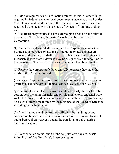(6) File any required tax or information returns, forms, or other filings required by federal, state, or local governmental agencies or authorities. (7) Obtain an audit and review of the financial records as requested or required by the members of the Board of Directors from time to time; and

(8) The Board may require the Treasurer to give a bond for the faithful discharge of their duties, the cost of which shall be borne by the Corporation.

(f) The Parliamentarian shall ensure that the Corporation conducts all business and meetings bylaws the Corporation bylaws conduct all business and meetings. It shall have such other powers and duties not inconsistent with these bylaws as may be assigned from time to time by the members of the Board of Directors, including the obligation to:

(1) Review the corporation bylaws annually to ensure they meet the needs of the Corporation; and

(2) Review Corporation records to ensure compliance with its not-forprofit status under state and federal statutes, laws, and regulations.

(g) The Auditor shall have the responsibility to verify the assets of the corporation, including financial and physical inventory, and shall have such other powers and duties not inconsistent with these bylaws as may be assigned from time to time by the members of the Board of Directors, including the obligation to:

(1) Avoid having any direct responsibility for the handling of any corporation finances and conduct a minimum of two random financial audits before fiscal year-end and at the transition of duties during election years; and

(2) To conduct an annual audit of the corporation's physical assets following the Vice-President's inventory report.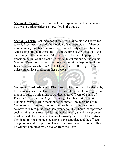**Section 4. Records.** The records of the Corporation will be maintained by the appropriate officers as specified in the duties.

**Section 5. Term.** Each member of the Board Directors shall serve for two (2) fiscal years or until the election of a successor. Any Director may serve any number of consecutive terms. Newly elected Directors will assume limited responsibility from the time of certification of the election until the beginning of the fiscal year for the sole purpose of transitioning duties and creating a budget to submit during the Annual Meeting. Directors assume all responsibilities at the beginning of the fiscal year, as described in Article IX, section 1, following election unless otherwise specified in these bylaws.

**Section 6. Nominations and Elections.** If directors are to be elected by the members, such an election shall be held at a general meeting in the month of July. Nominations of candidates for Officers of Board of Directors are open from August 1 through October 31st in evennumbered years. During the nomination period, any member of the Corporation may submit a nomination to the Secretary, who must acknowledge receipt no later than twenty-four (24) hours, except when such nomination is received during festival week, an acknowledgment must be made the first business day following the close of the festival. Nominations must include the name of the candidate and the office(s) being nominated. If a position has no nominations or election results in no winner, nominees may be taken from the floor.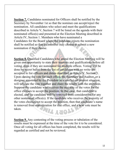**Section 7.** Candidates nominated for Officers shall be notified by the Secretary by November 1st so that the nominee can accept/reject the nomination. All candidates who select and meet the qualifications described in Article V, Section 7 will be listed on the agenda with their nominated office(s) and presented at the Election Meeting described in Article IV, Section 1. Members who have nominated a Candidates for the Board where the candidate rejects the nomination shall be notified so that the member may choose to submit a new nomination if they choose.

**Section 8.** Qualified Candidates who attend the Election Meeting will be given one opportunity to state their interests and qualifications before all voting, even if they are nominated for multiple offices. Voting will be done by secret ballot from the list of candidates with no write-ins accepted to list officers and duties described in Article V, Section 3. Upon closing the vote for each office, the Secretary and Auditor, or a designee appointed by the President in a conflict-of-interest situation, will tabulate the vote together and share the results with the attendees. Suppose the candidate who receives the majority of the votes for the office chooses to accept the position. In that case, that candidate is elected, and the candidate will be removed from consideration for any other nominated office(s). If the candidate who receives the majority of the votes chooses not to accept the position, then that candidate's name is removed from consideration for that office, and a new vote must be taken. **ANTI YERR** 

**Section 9.** Any contesting of the voting process or tabulation of the results must be expressed at the time of the vote for it to be considered. Once all voting for all offices has been completed, the results will be regarded as certified and not be reviewed.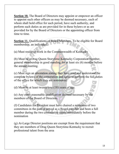**Section 10.** The Board of Directors may appoint or empower an officer to appoint such other officers as may be deemed necessary, each of whom shall hold office for such period, have such authority, and perform such duties as are provided for in these bylaws or as are provided for by the Board of Directors or the appointing officer from time to time.

**Section 11.** Qualifications of Board Members. To be eligible for Board membership, an individual:

(a) Must reside or work in the Commonwealth of Kentucky

(b) Must be a Drag Queen Storytime-Kentucky Corporation member, general membership in good standing for at least six (6) months before the annual meeting.

(c) Must sign an attestation stating they have read and understood the complete bylaws of the corporation and agree to perform the full duties of the office for which they are nominated.

(d) Must be at least twenty-one (18) years of age.

(e) Any other reasonable qualification deemed necessary by the members of the Board of Directors.

(f) Candidates for President must have chaired a minimum of two committees in the past or served as a Board member and been a full member during the two consecutive years immediately before the nomination

(g) At-Large Director positions are exempt from the requirement that they are members of Drag Queen Storytime-Kentucky to recruit professional talent from the area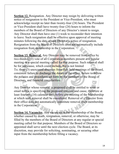**Section 12.** Resignation. Any Director may resign by delivering written notice of resignation to the President or Vice-President, who must acknowledge receipt no later than twenty-four (24) hours. The President or Vice-President shall have twenty-four (24) hours to inform the members of the Board of Directors of any Director's intent to resign. Any Director shall then have one (1) week to reconsider their intention to leave. Such resignation shall be effective upon approval of meeting minutes following the date of said Director's notice of resignation. Resignation from the Board of Directors does not automatically include resignation from membership in the Corporation.

**Section 13. Removal.** Any Director may be removed from office by two-thirds (2/3) vote of all Corporation members present at a regular meeting or a special meeting called for that purpose. Such removal shall be for just cause, which could include, but is not limited To; three (3) unexcused absences from duly held meetings of the Board, consistent failure to discharge the duties of the office, failure to follow the policies and procedures set forth by the members of the Board of Directors, and financial irregularities.

Any Director whose removal is proposed shall be entitled to write or email notice is specifying the proposed removal and cause, therefore at least fourteen (14) calendar days before any meeting of the Membership at which such removal shall be considered. Removal of a Director from their office does not automatically constitute removal from membership in the Corporation.

**Section 14. Vacancies**. Any vacancies in the membership of the Board, whether caused by death, resignation, removal, or otherwise, may be filled by the members of the Board of Directors at any regular or special meeting called for that purpose. Members of the Board of Directors so appointed shall serve until the next election cycle. The Board, at its discretion, may provide for soliciting, nominating, or securing other input from the membership before filling a vacancy.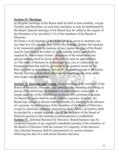#### **Section 15. Meetings.**

(a) Regular meetings of the Board shall be held at least monthly, except October and December, at such time and place as may be determined by the Board. Special meetings of the Board may be called at the request of the President or by one-third (1/3) of the members of the Board of Directors.

(b) Notice of all meetings of the Board shall be given to members not less than five (5) calendar days before the meeting. Neither the business to be transacted at nor the purpose of any regular meeting of the Board need be specified in the notice of such meeting unless specifically required by law or these bylaws. Statement of the intention of any special meeting must be given at the call for such an appointment. (c) The order of business at all meetings may vary to conform to the business at hand but shall be governed to the greatest extent by the Rule of Order as described in Article IV, Section 6, except to the extent that the Secretary shall allow Directors to submit agenda items at the start of any regular meeting.

**Section 16. Quorum and Voting.** At any meeting of the members of the Board of Directors, Directors may participate by attending and voting in person or by following via telephone or other remote connection. A simple majority of the filled Board positions will constitute a quorum. No Board decisions shall be made without a quorum; however, the Board may choose to discuss matters outside of a meeting in the absence of a quorum. At all meetings of the members of the Board of Directors, except as otherwise explicitly required by these bylaws, all matters shall be decided by a simple majority vote of the members of the Board of Directors present at the meeting in which quorum is established. **Section 17.** Informal Business by Directors. Board business may be conducted outside of any regularly scheduled meeting of the members of the Board of Directors with the consent of a majority of the directors. Any informal business shall be documented via session minutes following the date of a said casual business decision.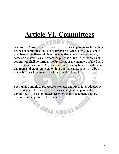### **Article VI. Committees**

**Section 1. Committees.** The Board of Directors appoints such standing or special committees and the chairperson of each, as the President or members of the Board of Directors may deem necessary to properly carry on the activities and affect the purpose of the Corporation. Such committees shall perform as the President, or the members of the Board of Directors may direct. Any such committees may be abolished, or any chairperson thereof removed, with or without cause, at any time by a majority vote of the members of the Board of Directors.

**<u>Section 2.</u>** Committee Procedures. Policies and Procedures adopted by the members of the Board of Directors shall govern appointed committees. Those committees described in this document shall be governed in the prescribed manner.

WALL ROLL HE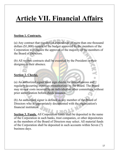### **Article VII. Financial Affairs**

#### **Section 1. Contracts.**

(a) Any contract that requires an expenditure of more than one thousand dollars (\$1,000) outside of the budget approved by the members of the Corporation will require the approval of the majority of the members of the Board of Directors.

(b) All written contracts shall be executed by the President or their designee in their absence.

#### **Section 2. Checks.**

(a) An authorized signer must sign checks for miscellaneous and regularly occurring expenses preauthorized by the Board. The Board may review costs incurred by an individual or other committees without prior authorization before check issuance.

(b) An authorized signer is defined as any member of the Board of Directors who is appropriately documented with the organization's financial institution.

**Section 3. Funds.** All Corporation funds shall be deposited in the name of the Corporation in such banks, trust companies, or other depositories as the members of the Board of Directors may select. All material funds of the Corporation shall be deposited in such accounts within Seven (7) business days.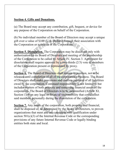#### **Section 4. Gifts and Donations.**

(a) The Board may accept any contribution, gift, bequest, or device for any purpose of the Corporation on behalf of the Corporation.

(b) No individual member of the Board of Directors may accept a unique gift over a value of \$100 (U.S. Dollars) through their association with the Corporation or activities of the Corporation.

**Section 5. Dissolution.** The Corporation may be dissolved only with authorization by its Board of Directors and meeting of the membership of the Corporation to be called by Article IV, Section 3. Agreement for dissolution shall require approval by a two-thirds  $(2/3)$  vote of members of the Corporation present or represented by proxy.

**Section 6.** The Board of Directors shall remain in position, not to be released until completion of all of the corporation's business. The Board of Directors shall make provisions and confirm payment of all liabilities owed by the corporation. Continued responsibility is not limited to but includes matters of both property and remaining financial assets of the corporation. The Board of Directors is to be indemnified (Article XI, Section 1) from any legal or financial responsibility that could affect said members personally during the dissolution of the corporation.

**Section 7.** Any assets of the corporation, both property and financial, shall be disposed of, as determined by the Board of Directors, to proven organizations that meet and are consistent with qualification under section 501(c)(3) of the Internal Revenue Code or the corresponding provisions of any future Internal Revenue Code or legally binding entities both state and local.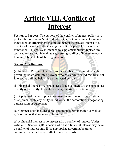### **Article VIII. Conflict of Interest**

**Section 1. Purpose.** The purpose of the conflict-of-interest policy is to protect the corporation's interest when it is contemplating entering into a transaction or arrangement that might benefit the private interest of a director of the organization or might result in a possible excess benefit transaction. This policy is intended to supplement but not replace any applicable state and federal laws governing conflict of interest relevant to non-profit and charitable organizations.

#### **Section 2. Definitions.**

(a) Interested Person - Any Director or member of a committee with governing board delegated powers, who has a direct or indirect financial interest, as defined below, is an interested person.

(b) Financial Interest - A person has a financial interest if the person has, directly or indirectly, through business, investment, or family:

(c) A potential ownership or investment interest in, or compensation arrangement with, any entity or individual the corporation is negotiating a transaction or agreement.

(d) Compensation includes direct and indirect remuneration as well as gifts or favors that are not insubstantial.

(e) A financial interest is not necessarily a conflict of interest. Under Article IX, Section 3(B), a person who has a financial interest may have a conflict of interest only if the appropriate governing board or committee decides that a conflict of interest exists.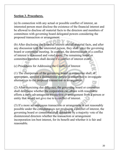#### **Section 3. Procedures.**

(a) In connection with any actual or possible conflict of interest, an interested person must disclose the existence of the financial interest and be allowed to disclose all material facts to the directors and members of committees with governing board delegated powers considering the proposed transaction or arrangement.

(b) After disclosing the financial interest and all material facts, and after any discussion with the interested person, they shall leave the governing board or committee meeting. In contrast, the determination of a conflict of interest is discussed and voted upon. The remaining board or committee members shall decide if a conflict of interest exists.

(c) Procedures for Addressing the Conflict of Interest

(1) The chairperson of the governing board or committee shall, if appropriate, appoint a disinterested person or committee to investigate alternatives to the proposed transaction or arrangement.

(2) After exercising due diligence, the governing board or committee shall determine whether the corporation can obtain with reasonable efforts a more advantageous transaction or arrangement from a person or entity that would not give rise to a conflict of interest.

(3) If a more advantageous transaction or arrangement is not reasonably possible under the circumstances not producing a conflict of interest, the governing board or committee shall determine by a majority vote of the disinterested directors whether the transaction or arrangement incorporation ion best interest, for its benefit and whether it is fair and reasonable.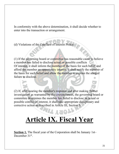In conformity with the above determination, it shall decide whether to enter into the transaction or arrangement.

(d) Violations of the Conflicts of Interest Policy

(1) If the governing board or committee has reasonable cause to believe a member has failed to disclose actual or possible conflicts Of interest, it shall inform the member of the basis for such belief and afford the member an opportunity interest. It shall notify the member of the basis for such belief and allow the member to explain the alleged failure to disclose.

(2) If, after hearing the member's response and after making further investigation as warranted by the circumstances, the governing board or committee determines the member has failed to disclose an actual or possible conflict of interest, it shall take appropriate disciplinary and corrective action as described in Article III, Section 3.

### **Article IX. Fiscal Year**

**Section 1.** The fiscal year of the Corporation shall be January 1st– December 31<sup>st</sup>.